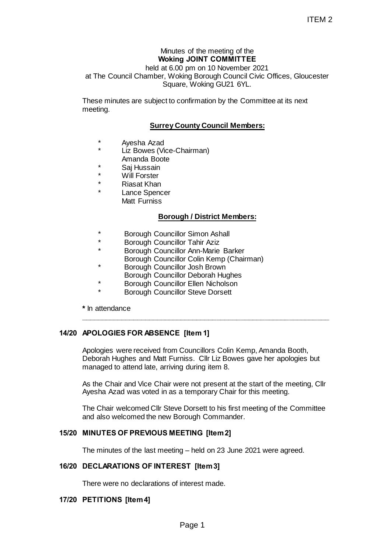## Minutes of the meeting of the **Woking JOINT COMMITTEE**

held at 6.00 pm on 10 November 2021 at The Council Chamber, Woking Borough Council Civic Offices, Gloucester Square, Woking GU21 6YL.

These minutes are subject to confirmation by the Committee at its next meeting.

## **Surrey County Council Members:**

- Ayesha Azad
- Liz Bowes (Vice-Chairman)
- Amanda Boote
- Saj Hussain
- **Will Forster**
- **Riasat Khan**
- Lance Spencer Matt Furniss

### **Borough / District Members:**

- Borough Councillor Simon Ashall
- Borough Councillor Tahir Aziz
	- Borough Councillor Ann-Marie Barker
	- Borough Councillor Colin Kemp (Chairman)
- Borough Councillor Josh Brown
- Borough Councillor Deborah Hughes
- Borough Councillor Ellen Nicholson
- **Borough Councillor Steve Dorsett**

**\*** In attendance

# **14/20 APOLOGIES FOR ABSENCE [Item 1]**

Apologies were received from Councillors Colin Kemp, Amanda Booth, Deborah Hughes and Matt Furniss. Cllr Liz Bowes gave her apologies but managed to attend late, arriving during item 8. ITEM 2<br>
ITEM 2<br>
g JOINT COMMITTEE<br>
ing Borough Council Civic Offices, Gloucester<br>
ing Borough Council Civic Offices, Gloucester<br>
ce, Woking GU21 6YL.<br>
confirmation by the Committee at its next<br>
county Council Members:<br>
hai

**\_\_\_\_\_\_\_\_\_\_\_\_\_\_\_\_\_\_\_\_\_\_\_\_\_\_\_\_\_\_\_\_\_\_\_\_\_\_\_\_\_\_\_\_\_\_\_\_\_\_\_\_\_\_\_\_\_\_\_\_\_\_**

As the Chair and Vice Chair were not present at the start of the meeting, Cllr Ayesha Azad was voted in as a temporary Chair for this meeting.

The Chair welcomed Cllr Steve Dorsett to his first meeting of the Committee and also welcomed the new Borough Commander.

### **15/20 MINUTES OF PREVIOUS MEETING [Item 2]**

The minutes of the last meeting – held on 23 June 2021 were agreed.

### **16/20 DECLARATIONS OF INTEREST [Item 3]**

There were no declarations of interest made.

### **17/20 PETITIONS [Item 4]**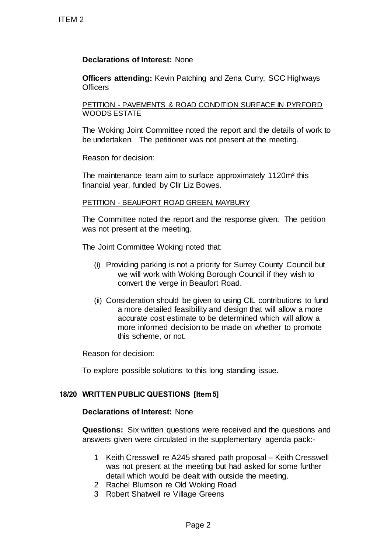# **Declarations of Interest:** None

**Officers attending:** Kevin Patching and Zena Curry, SCC Highways **Officers** 

PETITION - PAVEMENTS & ROAD CONDITION SURFACE IN PYRFORD WOODS ESTATE

The Woking Joint Committee noted the report and the details of work to be undertaken. The petitioner was not present at the meeting.

Reason for decision:

The maintenance team aim to surface approximately 1120m<sup>2</sup> this financial year, funded by Cllr Liz Bowes.

# PETITION - BEAUFORT ROAD GREEN, MAYBURY

The Committee noted the report and the response given. The petition was not present at the meeting.

The Joint Committee Woking noted that:

- (i) Providing parking is not a priority for Surrey County Council but we will work with Woking Borough Council if they wish to convert the verge in Beaufort Road.
- (ii) Consideration should be given to using CIL contributions to fund a more detailed feasibility and design that will allow a more accurate cost estimate to be determined which will allow a more informed decision to be made on whether to promote this scheme, or not. TTEM 2<br>
Declarations of Interest: None<br>
Officers<br>
CHECTION - PAVEMENTS & ROAD CO<br>
WOODS ESTATE<br>
The Woking Joint Committee noted the burderlaken. The petitioner was no<br>
Reason for decision:<br>
The maintenance team aim to sur

Reason for decision:

To explore possible solutions to this long standing issue.

# **18/20 WRITTEN PUBLIC QUESTIONS [Item 5]**

### **Declarations of Interest:** None

**Questions:** Six written questions were received and the questions and answers given were circulated in the supplementary agenda pack:-

- 1 Keith Cresswell re A245 shared path proposal Keith Cresswell was not present at the meeting but had asked for some further detail which would be dealt with outside the meeting.
- 2 Rachel Blumson re Old Woking Road
- 3 Robert Shatwell re Village Greens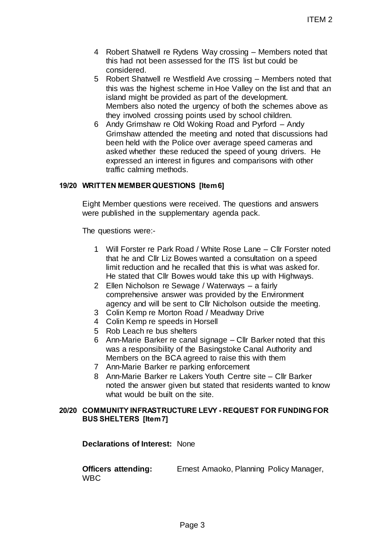- 4 Robert Shatwell re Rydens Way crossing Members noted that this had not been assessed for the ITS list but could be considered.
- 5 Robert Shatwell re Westfield Ave crossing Members noted that this was the highest scheme in Hoe Valley on the list and that an island might be provided as part of the development. Members also noted the urgency of both the schemes above as they involved crossing points used by school children.
- 6 Andy Grimshaw re Old Woking Road and Pyrford Andy Grimshaw attended the meeting and noted that discussions had been held with the Police over average speed cameras and asked whether these reduced the speed of young drivers. He expressed an interest in figures and comparisons with other traffic calming methods. ITEM 2<br>
ITEM 2<br>
radens Way crossing – Members noted that<br>
esteed Ave crossing – Members noted that<br>
esteed Ave crossing – Members noted that<br>
the urgency of both the schemes above as<br>
the urgency of both the schemes above

# **19/20 WRITTEN MEMBERQUESTIONS [Item 6]**

Eight Member questions were received. The questions and answers were published in the supplementary agenda pack.

The questions were:-

- 1 Will Forster re Park Road / White Rose Lane Cllr Forster noted that he and Cllr Liz Bowes wanted a consultation on a speed limit reduction and he recalled that this is what was asked for. He stated that Cllr Bowes would take this up with Highways.
- 2 Ellen Nicholson re Sewage / Waterways a fairly comprehensive answer was provided by the Environment agency and will be sent to Cllr Nicholson outside the meeting.
- 3 Colin Kemp re Morton Road / Meadway Drive
- 4 Colin Kemp re speeds in Horsell
- 5 Rob Leach re bus shelters
- 6 Ann-Marie Barker re canal signage Cllr Barker noted that this was a responsibility of the Basingstoke Canal Authority and Members on the BCA agreed to raise this with them
- 7 Ann-Marie Barker re parking enforcement
- 8 Ann-Marie Barker re Lakers Youth Centre site Cllr Barker noted the answer given but stated that residents wanted to know what would be built on the site.

### **20/20 COMMUNITY INFRASTRUCTURE LEVY - REQUEST FOR FUNDING FOR BUS SHELTERS [Item 7]**

**Declarations of Interest:** None

**Officers attending:** Ernest Amaoko, Planning Policy Manager, WBC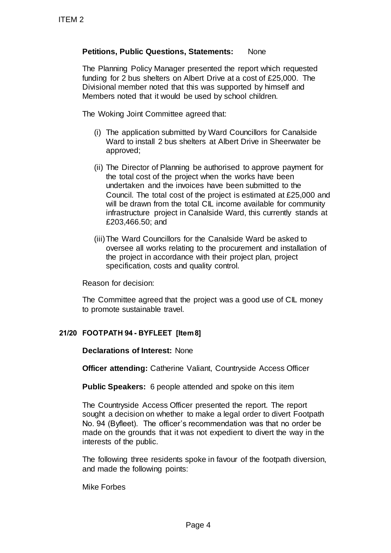# **Petitions, Public Questions, Statements:** None

The Planning Policy Manager presented the report which requested funding for 2 bus shelters on Albert Drive at a cost of £25,000. The Divisional member noted that this was supported by himself and Members noted that it would be used by school children.

The Woking Joint Committee agreed that:

- (i) The application submitted by Ward Councillors for Canalside Ward to install 2 bus shelters at Albert Drive in Sheerwater be approved;
- (ii) The Director of Planning be authorised to approve payment for the total cost of the project when the works have been undertaken and the invoices have been submitted to the Council. The total cost of the project is estimated at £25,000 and will be drawn from the total CIL income available for community infrastructure project in Canalside Ward, this currently stands at £203,466.50; and TTEM 2<br>
Petitions, Public Questions, Stater<br>
The Planning Policy Manager present<br>
funding for 2 bus shellers on Albert 2<br>
Divisional member noted that this wa<br>
Members noted that it would be used<br>
The Woking Joint Committe
	- (iii)The Ward Councillors for the Canalside Ward be asked to oversee all works relating to the procurement and installation of the project in accordance with their project plan, project specification, costs and quality control.

Reason for decision:

The Committee agreed that the project was a good use of CIL money to promote sustainable travel.

# **21/20 FOOTPATH 94 - BYFLEET [Item 8]**

**Declarations of Interest:** None

**Officer attending:** Catherine Valiant, Countryside Access Officer

**Public Speakers:** 6 people attended and spoke on this item

The Countryside Access Officer presented the report. The report sought a decision on whether to make a legal order to divert Footpath No. 94 (Byfleet). The officer's recommendation was that no order be made on the grounds that it was not expedient to divert the way in the interests of the public.

The following three residents spoke in favour of the footpath diversion, and made the following points:

Mike Forbes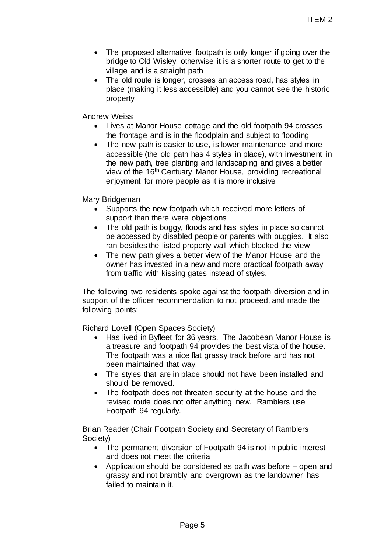- The proposed alternative footpath is only longer if going over the bridge to Old Wisley, otherwise it is a shorter route to get to the village and is a straight path
- The old route is longer, crosses an access road, has styles in place (making it less accessible) and you cannot see the historic property

Andrew Weiss

- Lives at Manor House cottage and the old footpath 94 crosses the frontage and is in the floodplain and subject to flooding
- The new path is easier to use, is lower maintenance and more accessible (the old path has 4 styles in place), with investment in the new path, tree planting and landscaping and gives a better view of the 16<sup>th</sup> Centuary Manor House, providing recreational enjoyment for more people as it is more inclusive ITEM 2<br>tive footpath is only longer if going over the<br>otherwise it is a shorter route to get to the<br>otherwise it is a shorter route to get to the<br>accessible) and you cannot see the historic<br>scottage and the old footpath 94

Mary Bridgeman

- Supports the new footpath which received more letters of support than there were objections
- The old path is boggy, floods and has styles in place so cannot be accessed by disabled people or parents with buggies. It also ran besides the listed property wall which blocked the view
- The new path gives a better view of the Manor House and the owner has invested in a new and more practical footpath away from traffic with kissing gates instead of styles.

The following two residents spoke against the footpath diversion and in support of the officer recommendation to not proceed, and made the following points:

Richard Lovell (Open Spaces Society)

- Has lived in Byfleet for 36 years. The Jacobean Manor House is a treasure and footpath 94 provides the best vista of the house. The footpath was a nice flat grassy track before and has not been maintained that way.
- The styles that are in place should not have been installed and should be removed.
- The footpath does not threaten security at the house and the revised route does not offer anything new. Ramblers use Footpath 94 regularly.

Brian Reader (Chair Footpath Society and Secretary of Ramblers Society)

- The permanent diversion of Footpath 94 is not in public interest and does not meet the criteria
- Application should be considered as path was before open and grassy and not brambly and overgrown as the landowner has failed to maintain it.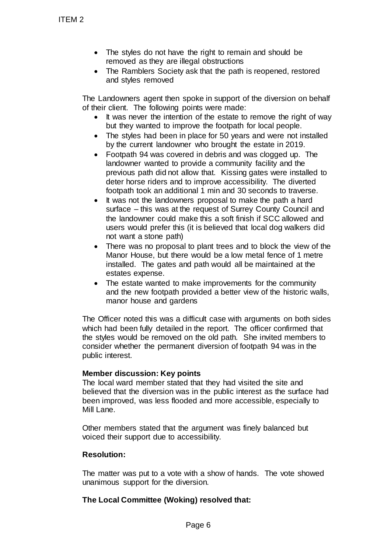- The styles do not have the right to remain and should be removed as they are illegal obstructions
- The Ramblers Society ask that the path is reopened, restored and styles removed

The Landowners agent then spoke in support of the diversion on behalf of their client. The following points were made:

- It was never the intention of the estate to remove the right of way but they wanted to improve the footpath for local people.
- The styles had been in place for 50 years and were not installed by the current landowner who brought the estate in 2019.
- Footpath 94 was covered in debris and was clogged up. The landowner wanted to provide a community facility and the previous path did not allow that. Kissing gates were installed to deter horse riders and to improve accessibility. The diverted footpath took an additional 1 min and 30 seconds to traverse.
- It was not the landowners proposal to make the path a hard surface – this was at the request of Surrey County Council and the landowner could make this a soft finish if SCC allowed and users would prefer this (it is believed that local dog walkers did not want a stone path)
- There was no proposal to plant trees and to block the view of the Manor House, but there would be a low metal fence of 1 metre installed. The gates and path would all be maintained at the estates expense.
- The estate wanted to make improvements for the community and the new footpath provided a better view of the historic walls, manor house and gardens

The Officer noted this was a difficult case with arguments on both sides which had been fully detailed in the report. The officer confirmed that the styles would be removed on the old path. She invited members to consider whether the permanent diversion of footpath 94 was in the public interest. TTEM 2<br>
• The styles do not have the rigin emoved as they are illegal ob<br>
• The Ramblers Society ask tha<br>
• The Landowners agent then spoke in<br>
of their dient of the following points were<br>
• It was never the intention of

# **Member discussion: Key points**

The local ward member stated that they had visited the site and believed that the diversion was in the public interest as the surface had been improved, was less flooded and more accessible, especially to Mill Lane.

Other members stated that the argument was finely balanced but voiced their support due to accessibility.

### **Resolution:**

The matter was put to a vote with a show of hands. The vote showed unanimous support for the diversion.

# **The Local Committee (Woking) resolved that:**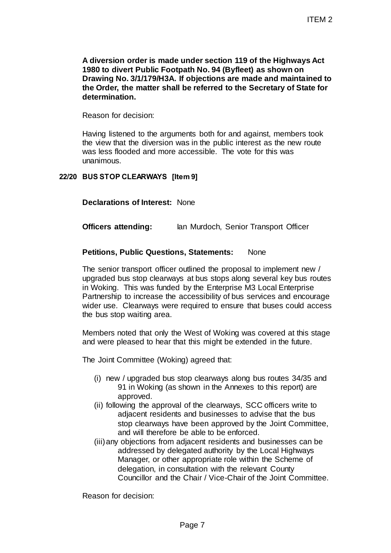**A diversion order is made under section 119 of the Highways Act 1980 to divert Public Footpath No. 94 (Byfleet) as shown on Drawing No. 3/1/179/H3A. If objections are made and maintained to the Order, the matter shall be referred to the Secretary of State for determination.** 

Reason for decision:

Having listened to the arguments both for and against, members took the view that the diversion was in the public interest as the new route was less flooded and more accessible. The vote for this was unanimous.

# **22/20 BUS STOP CLEARWAYS [Item 9]**

**Declarations of Interest:** None

**Officers attending:** Ian Murdoch, Senior Transport Officer

## **Petitions, Public Questions, Statements:** None

The senior transport officer outlined the proposal to implement new / upgraded bus stop clearways at bus stops along several key bus routes in Woking. This was funded by the Enterprise M3 Local Enterprise Partnership to increase the accessibility of bus services and encourage wider use. Clearways were required to ensure that buses could access the bus stop waiting area. ITEM 2<br>
under section 119 of the Highways Act<br>
aath No. 94 (Byfleet) as shown on<br>
th objections are made and maintained to<br>
be referred to the Secretary of State for<br>
hersts both for and against, members took<br>
aas in the p

Members noted that only the West of Woking was covered at this stage and were pleased to hear that this might be extended in the future.

The Joint Committee (Woking) agreed that:

- (i) new / upgraded bus stop clearways along bus routes 34/35 and 91 in Woking (as shown in the Annexes to this report) are approved.
- (ii) following the approval of the clearways, SCC officers write to adjacent residents and businesses to advise that the bus stop clearways have been approved by the Joint Committee, and will therefore be able to be enforced.
- (iii)any objections from adjacent residents and businesses can be addressed by delegated authority by the Local Highways Manager, or other appropriate role within the Scheme of delegation, in consultation with the relevant County Councillor and the Chair / Vice-Chair of the Joint Committee.

Reason for decision: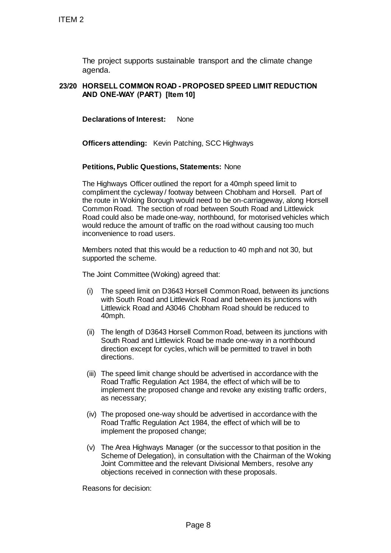The project supports sustainable transport and the climate change agenda.

## **23/20 HORSELL COMMON ROAD - PROPOSED SPEED LIMIT REDUCTION AND ONE-WAY (PART) [Item 10]**

**Declarations of Interest:** None

**Officers attending:** Kevin Patching, SCC Highways

#### **Petitions, Public Questions, Statements:** None

The Highways Officer outlined the report for a 40mph speed limit to compliment the cycleway / footway between Chobham and Horsell. Part of the route in Woking Borough would need to be on-carriageway, along Horsell Common Road. The section of road between South Road and Littlewick Road could also be made one-way, northbound, for motorised vehicles which would reduce the amount of traffic on the road without causing too much inconvenience to road users. TTEM 2<br>
The project supports sustainable tran<br>
agenda.<br>
23/20 HORSELL COMMON ROAD - PROPO:<br>
AND ONE-WAY (PART) [Item 10]<br>
Declarations of Interest: None<br>
Officers attending: Kevin Patching, S<br>
Petitions, Public Questions,

Members noted that this would be a reduction to 40 mph and not 30, but supported the scheme.

The Joint Committee (Woking) agreed that:

- (i) The speed limit on D3643 Horsell Common Road, between its junctions with South Road and Littlewick Road and between its junctions with Littlewick Road and A3046 Chobham Road should be reduced to 40mph.
- (ii) The length of D3643 Horsell Common Road, between its junctions with South Road and Littlewick Road be made one-way in a northbound direction except for cycles, which will be permitted to travel in both directions.
- (iii) The speed limit change should be advertised in accordance with the Road Traffic Regulation Act 1984, the effect of which will be to implement the proposed change and revoke any existing traffic orders, as necessary;
- (iv) The proposed one-way should be advertised in accordance with the Road Traffic Regulation Act 1984, the effect of which will be to implement the proposed change;
- (v) The Area Highways Manager (or the successor to that position in the Scheme of Delegation), in consultation with the Chairman of the Woking Joint Committee and the relevant Divisional Members, resolve any objections received in connection with these proposals.

Reasons for decision: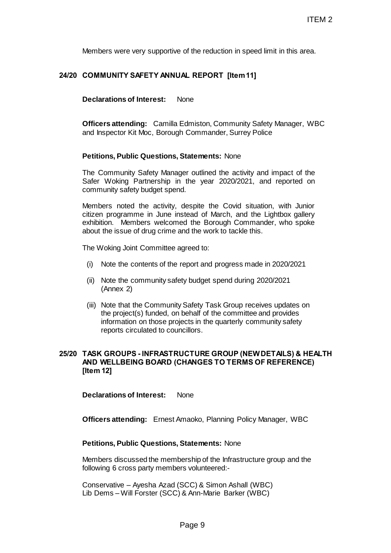Members were very supportive of the reduction in speed limit in this area.

#### **24/20 COMMUNITY SAFETY ANNUAL REPORT [Item 11]**

**Declarations of Interest:** None

**Officers attending:** Camilla Edmiston, Community Safety Manager, WBC and Inspector Kit Moc, Borough Commander, Surrey Police

#### **Petitions, Public Questions, Statements:** None

The Community Safety Manager outlined the activity and impact of the Safer Woking Partnership in the year 2020/2021, and reported on community safety budget spend.

Members noted the activity, despite the Covid situation, with Junior citizen programme in June instead of March, and the Lightbox gallery exhibition. Members welcomed the Borough Commander, who spoke about the issue of drug crime and the work to tackle this. ITEM 2<br>
of the reduction in speed limit in this area.<br>
AL REPORT [Item11]<br>
None<br>
Edmiston, Community Safety Manager, WBC<br>
n Commander, Surrey Police<br>
Statements: None<br>
ger outlined the activity and impact of the<br>
d.<br>
d.<br>
d

The Woking Joint Committee agreed to:

- (i) Note the contents of the report and progress made in 2020/2021
- (ii) Note the community safety budget spend during 2020/2021 (Annex 2)
- (iii) Note that the Community Safety Task Group receives updates on the project(s) funded, on behalf of the committee and provides information on those projects in the quarterly community safety reports circulated to councillors.

#### **25/20 TASK GROUPS - INFRASTRUCTURE GROUP (NEWDETAILS) & HEALTH AND WELLBEING BOARD (CHANGES TO TERMS OF REFERENCE) [Item 12]**

**Declarations of Interest:** None

**Officers attending:** Ernest Amaoko, Planning Policy Manager, WBC

#### **Petitions, Public Questions, Statements:** None

Members discussed the membership of the Infrastructure group and the following 6 cross party members volunteered:-

Conservative – Ayesha Azad (SCC) & Simon Ashall (WBC) Lib Dems – Will Forster (SCC) & Ann-Marie Barker (WBC)